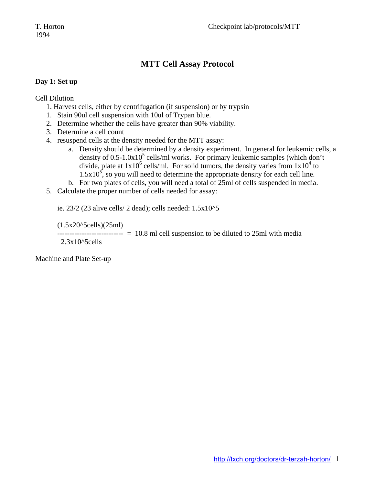### **MTT Cell Assay Protocol**

#### **Day 1: Set up**

Cell Dilution

- 1. Harvest cells, either by centrifugation (if suspension) or by trypsin
- 1. Stain 90ul cell suspension with 10ul of Trypan blue.
- 2. Determine whether the cells have greater than 90% viability.
- 3. Determine a cell count
- 4. resuspend cells at the density needed for the MTT assay:
	- a. Density should be determined by a density experiment. In general for leukemic cells, a density of  $0.5$ -1.0x10<sup>5</sup> cells/ml works. For primary leukemic samples (which don't divide, plate at  $1x10^6$  cells/ml. For solid tumors, the density varies from  $1x10^4$  to  $1.5x10<sup>5</sup>$ , so you will need to determine the appropriate density for each cell line.
	- b. For two plates of cells, you will need a total of 25ml of cells suspended in media.
- 5. Calculate the proper number of cells needed for assay:

ie. 23/2 (23 alive cells/ 2 dead); cells needed: 1.5x10^5

(1.5x20^5cells)(25ml)

--------------------------- = 10.8 ml cell suspension to be diluted to 25ml with media

2.3x10^5cells

Machine and Plate Set-up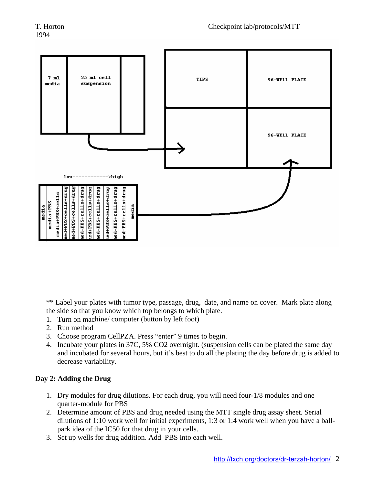

\*\* Label your plates with tumor type, passage, drug, date, and name on cover. Mark plate along the side so that you know which top belongs to which plate.

- 1. Turn on machine/ computer (button by left foot)
- 2. Run method
- 3. Choose program CellPZA. Press "enter" 9 times to begin.
- 4. Incubate your plates in 37C, 5% CO2 overnight. (suspension cells can be plated the same day and incubated for several hours, but it's best to do all the plating the day before drug is added to decrease variability.

#### **Day 2: Adding the Drug**

- 1. Dry modules for drug dilutions. For each drug, you will need four-1/8 modules and one quarter-module for PBS
- 2. Determine amount of PBS and drug needed using the MTT single drug assay sheet. Serial dilutions of 1:10 work well for initial experiments, 1:3 or 1:4 work well when you have a ballpark idea of the IC50 for that drug in your cells.
- 3. Set up wells for drug addition. Add PBS into each well.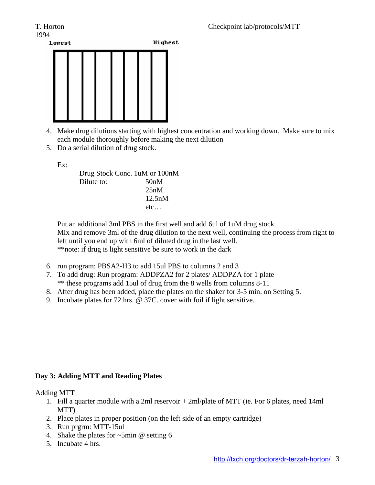# 1994



- 4. Make drug dilutions starting with highest concentration and working down. Make sure to mix each module thoroughly before making the next dilution
- 5. Do a serial dilution of drug stock.

Ex:

 Drug Stock Conc. 1uM or 100nM Dilute to: 50nM 25nM 12.5nM etc…

Put an additional 3ml PBS in the first well and add 6ul of 1uM drug stock. Mix and remove 3ml of the drug dilution to the next well, continuing the process from right to left until you end up with 6ml of diluted drug in the last well. \*\*note: if drug is light sensitive be sure to work in the dark

- 6. run program: PBSA2-H3 to add 15ul PBS to columns 2 and 3
- 7. To add drug: Run program: ADDPZA2 for 2 plates/ ADDPZA for 1 plate \*\* these programs add 15ul of drug from the 8 wells from columns 8-11
- 8. After drug has been added, place the plates on the shaker for 3-5 min. on Setting 5.
- 9. Incubate plates for 72 hrs. @ 37C. cover with foil if light sensitive.

#### **Day 3: Adding MTT and Reading Plates**

#### Adding MTT

- 1. Fill a quarter module with a 2ml reservoir + 2ml/plate of MTT (ie. For 6 plates, need 14ml MTT)
- 2. Place plates in proper position (on the left side of an empty cartridge)
- 3. Run prgrm: MTT-15ul
- 4. Shake the plates for ~5min @ setting 6
- 5. Incubate 4 hrs.